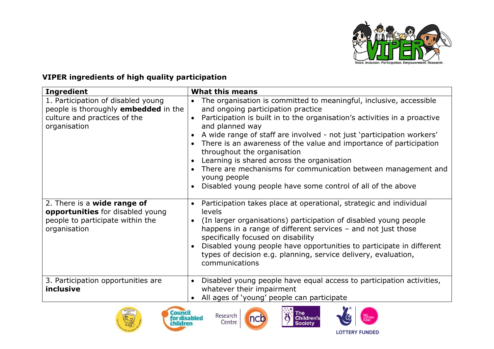

## **VIPER ingredients of high quality participation**

| <b>Ingredient</b>                                                                                                          | <b>What this means</b>                                                                                                                                                                                                                                                                                                                                                                                                                                                                                                                                                                                                      |
|----------------------------------------------------------------------------------------------------------------------------|-----------------------------------------------------------------------------------------------------------------------------------------------------------------------------------------------------------------------------------------------------------------------------------------------------------------------------------------------------------------------------------------------------------------------------------------------------------------------------------------------------------------------------------------------------------------------------------------------------------------------------|
| 1. Participation of disabled young<br>people is thoroughly embedded in the<br>culture and practices of the<br>organisation | The organisation is committed to meaningful, inclusive, accessible<br>$\bullet$<br>and ongoing participation practice<br>Participation is built in to the organisation's activities in a proactive<br>and planned way<br>A wide range of staff are involved - not just 'participation workers'<br>$\bullet$<br>There is an awareness of the value and importance of participation<br>$\bullet$<br>throughout the organisation<br>Learning is shared across the organisation<br>There are mechanisms for communication between management and<br>young people<br>Disabled young people have some control of all of the above |
| 2. There is a wide range of<br>opportunities for disabled young<br>people to participate within the<br>organisation        | Participation takes place at operational, strategic and individual<br>levels<br>(In larger organisations) participation of disabled young people<br>$\bullet$<br>happens in a range of different services - and not just those<br>specifically focused on disability<br>Disabled young people have opportunities to participate in different<br>$\bullet$<br>types of decision e.g. planning, service delivery, evaluation,<br>communications                                                                                                                                                                               |
| 3. Participation opportunities are<br>inclusive                                                                            | Disabled young people have equal access to participation activities,<br>$\bullet$<br>whatever their impairment<br>All ages of 'young' people can participate                                                                                                                                                                                                                                                                                                                                                                                                                                                                |











**LOTTERY FUNDED**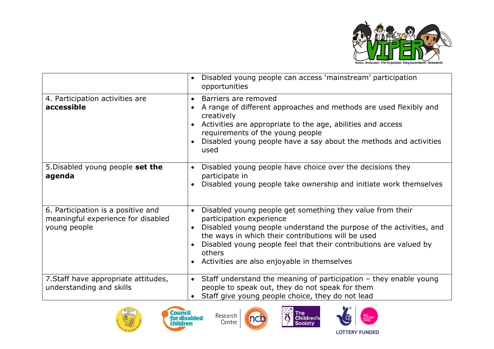

|                                                                                          | Disabled young people can access 'mainstream' participation<br>$\bullet$<br>opportunities                                                                                                                                                                                                                                                                                                            |
|------------------------------------------------------------------------------------------|------------------------------------------------------------------------------------------------------------------------------------------------------------------------------------------------------------------------------------------------------------------------------------------------------------------------------------------------------------------------------------------------------|
| 4. Participation activities are<br>accessible                                            | Barriers are removed<br>$\bullet$<br>A range of different approaches and methods are used flexibly and<br>creatively<br>Activities are appropriate to the age, abilities and access<br>$\bullet$<br>requirements of the young people<br>Disabled young people have a say about the methods and activities<br>$\bullet$<br>used                                                                       |
| 5. Disabled young people set the<br>agenda                                               | Disabled young people have choice over the decisions they<br>$\bullet$<br>participate in<br>Disabled young people take ownership and initiate work themselves<br>$\bullet$                                                                                                                                                                                                                           |
| 6. Participation is a positive and<br>meaningful experience for disabled<br>young people | Disabled young people get something they value from their<br>$\bullet$<br>participation experience<br>Disabled young people understand the purpose of the activities, and<br>$\bullet$<br>the ways in which their contributions will be used<br>Disabled young people feel that their contributions are valued by<br>$\bullet$<br>others<br>Activities are also enjoyable in themselves<br>$\bullet$ |
| 7. Staff have appropriate attitudes,<br>understanding and skills                         | Staff understand the meaning of participation $-$ they enable young<br>$\bullet$<br>people to speak out, they do not speak for them<br>Staff give young people choice, they do not lead                                                                                                                                                                                                              |











**LOTTERY FUNDED**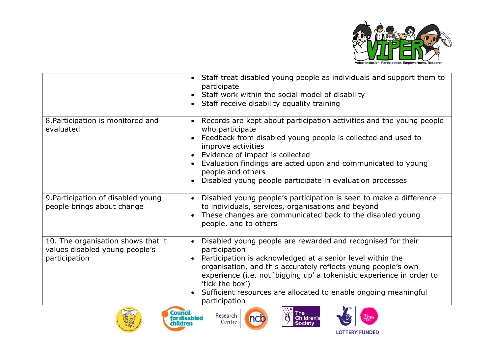

|                                                                                       | Staff treat disabled young people as individuals and support them to<br>$\bullet$<br>participate<br>Staff work within the social model of disability<br>Staff receive disability equality training<br>$\bullet$                                                                                                                                                                                                                                        |
|---------------------------------------------------------------------------------------|--------------------------------------------------------------------------------------------------------------------------------------------------------------------------------------------------------------------------------------------------------------------------------------------------------------------------------------------------------------------------------------------------------------------------------------------------------|
| 8. Participation is monitored and<br>evaluated                                        | Records are kept about participation activities and the young people<br>$\bullet$<br>who participate<br>Feedback from disabled young people is collected and used to<br>improve activities<br>Evidence of impact is collected<br>$\bullet$<br>Evaluation findings are acted upon and communicated to young<br>people and others<br>Disabled young people participate in evaluation processes<br>$\bullet$                                              |
| 9. Participation of disabled young<br>people brings about change                      | Disabled young people's participation is seen to make a difference -<br>$\bullet$<br>to individuals, services, organisations and beyond<br>These changes are communicated back to the disabled young<br>$\bullet$<br>people, and to others                                                                                                                                                                                                             |
| 10. The organisation shows that it<br>values disabled young people's<br>participation | Disabled young people are rewarded and recognised for their<br>$\bullet$<br>participation<br>Participation is acknowledged at a senior level within the<br>organisation, and this accurately reflects young people's own<br>experience (i.e. not 'bigging up' a tokenistic experience in order to<br>'tick the box')<br>Sufficient resources are allocated to enable ongoing meaningful<br>$\bullet$<br>participation<br>$\bullet$ $\bullet$ $\bullet$ |









**LOTTERY FUNDED**